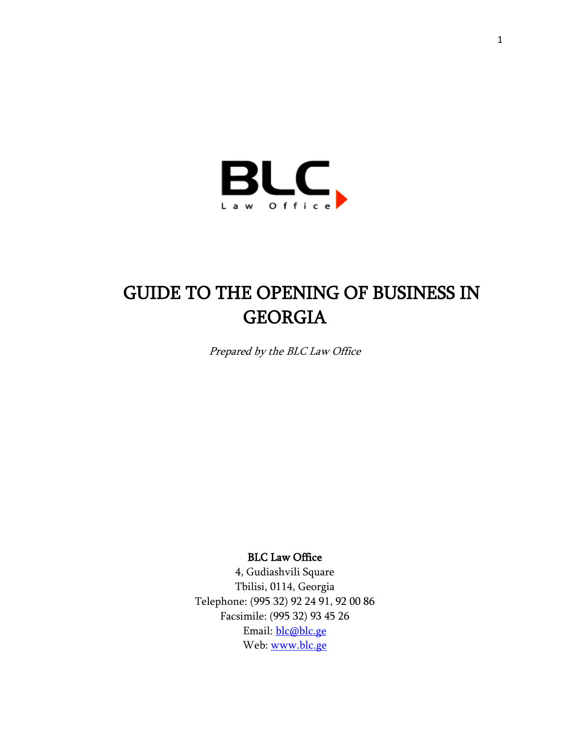

# GUIDE TO THE OPENING OF BUSINESS IN GEORGIA

Prepared by the BLC Law Office

BLC Law Office

4, Gudiashvili Square Tbilisi, 0114, Georgia Telephone: (995 32) 92 24 91, 92 00 86 Facsimile: (995 32) 93 45 26 Email: [blc@blc.ge](mailto:blc@blc.ge) Web: [www.blc.ge](http://www.blc.ge/)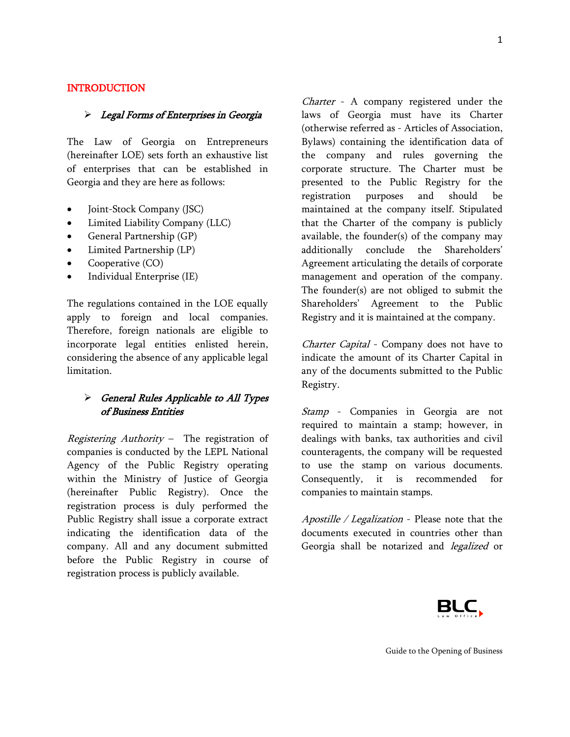#### **INTRODUCTION**

#### > Legal Forms of Enterprises in Georgia

The Law of Georgia on Entrepreneurs (hereinafter LOE) sets forth an exhaustive list of enterprises that can be established in Georgia and they are here as follows:

- Joint-Stock Company (JSC)
- Limited Liability Company (LLC)
- General Partnership (GP)
- Limited Partnership (LP)
- Cooperative (CO)
- Individual Enterprise (IE)

The regulations contained in the LOE equally apply to foreign and local companies. Therefore, foreign nationals are eligible to incorporate legal entities enlisted herein, considering the absence of any applicable legal limitation.

# General Rules Applicable to All Types of Business Entities

Registering Authority – The registration of companies is conducted by the LEPL National Agency of the Public Registry operating within the Ministry of Justice of Georgia (hereinafter Public Registry). Once the registration process is duly performed the Public Registry shall issue a corporate extract indicating the identification data of the company. All and any document submitted before the Public Registry in course of registration process is publicly available.

Charter - A company registered under the laws of Georgia must have its Charter (otherwise referred as - Articles of Association, Bylaws) containing the identification data of the company and rules governing the corporate structure. The Charter must be presented to the Public Registry for the registration purposes and should be maintained at the company itself. Stipulated that the Charter of the company is publicly available, the founder(s) of the company may additionally conclude the Shareholders' Agreement articulating the details of corporate management and operation of the company. The founder(s) are not obliged to submit the Shareholders' Agreement to the Public Registry and it is maintained at the company.

Charter Capital - Company does not have to indicate the amount of its Charter Capital in any of the documents submitted to the Public Registry.

Stamp - Companies in Georgia are not required to maintain a stamp; however, in dealings with banks, tax authorities and civil counteragents, the company will be requested to use the stamp on various documents. Consequently, it is recommended for companies to maintain stamps.

Apostille / Legalization - Please note that the documents executed in countries other than Georgia shall be notarized and *legalized* or

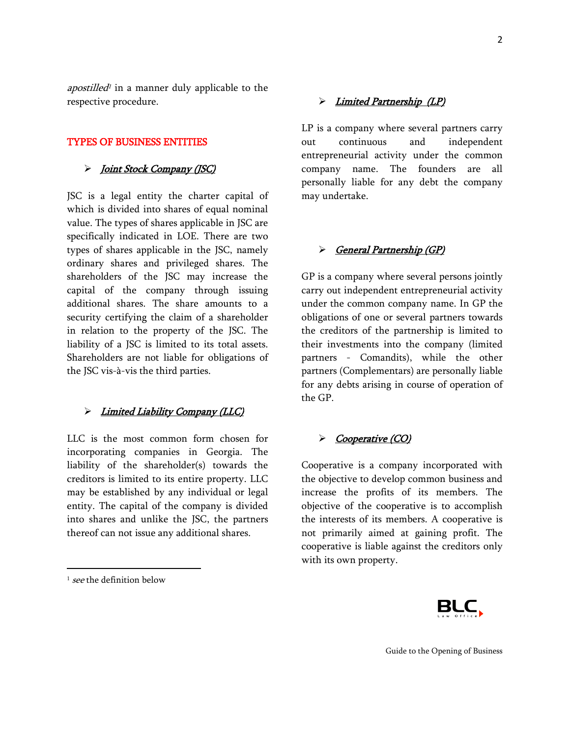apostilled<sup>1</sup> in a manner duly applicable to the respective procedure.

#### TYPES OF BUSINESS ENTITIES

#### > Joint Stock Company (JSC)

JSC is a legal entity the charter capital of which is divided into shares of equal nominal value. The types of shares applicable in JSC are specifically indicated in LOE. There are two types of shares applicable in the JSC, namely ordinary shares and privileged shares. The shareholders of the JSC may increase the capital of the company through issuing additional shares. The share amounts to a security certifying the claim of a shareholder in relation to the property of the JSC. The liability of a JSC is limited to its total assets. Shareholders are not liable for obligations of the JSC vis-à-vis the third parties.

#### > Limited Liability Company (LLC)

LLC is the most common form chosen for incorporating companies in Georgia. The liability of the shareholder(s) towards the creditors is limited to its entire property. LLC may be established by any individual or legal entity. The capital of the company is divided into shares and unlike the JSC, the partners thereof can not issue any additional shares.

 $\overline{\phantom{a}}$ 

#### > Limited Partnership (LP)

LP is a company where several partners carry out continuous and independent entrepreneurial activity under the common company name. The founders are all personally liable for any debt the company may undertake.

#### > General Partnership (GP)

GP is a company where several persons jointly carry out independent entrepreneurial activity under the common company name. In GP the obligations of one or several partners towards the creditors of the partnership is limited to their investments into the company (limited partners - Comandits), while the other partners (Complementars) are personally liable for any debts arising in course of operation of the GP.

#### > Cooperative (CO)

Cooperative is a company incorporated with the objective to develop common business and increase the profits of its members. The objective of the cooperative is to accomplish the interests of its members. A cooperative is not primarily aimed at gaining profit. The cooperative is liable against the creditors only with its own property.



<sup>&</sup>lt;sup>1</sup> see the definition below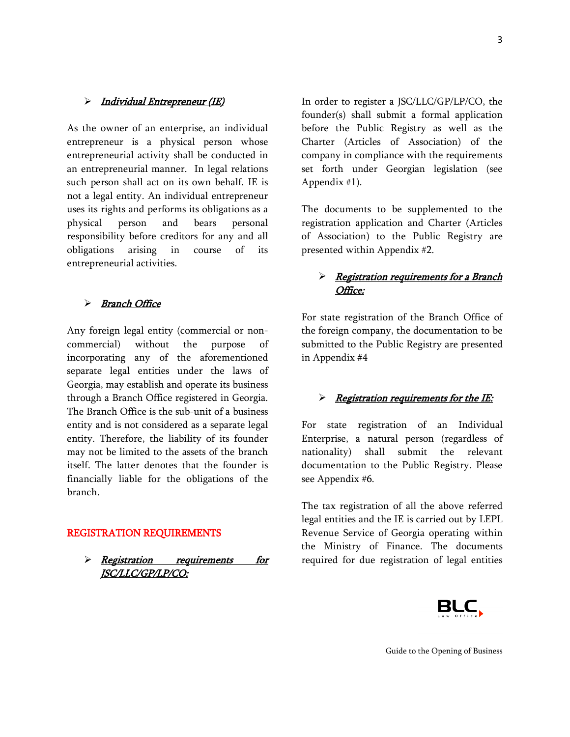#### > Individual Entrepreneur (IE)

As the owner of an enterprise, an individual entrepreneur is a physical person whose entrepreneurial activity shall be conducted in an entrepreneurial manner. In legal relations such person shall act on its own behalf. IE is not a legal entity. An individual entrepreneur uses its rights and performs its obligations as a physical person and bears personal responsibility before creditors for any and all obligations arising in course of its entrepreneurial activities.

#### > Branch Office

Any foreign legal entity (commercial or noncommercial) without the purpose of incorporating any of the aforementioned separate legal entities under the laws of Georgia, may establish and operate its business through a Branch Office registered in Georgia. The Branch Office is the sub-unit of a business entity and is not considered as a separate legal entity. Therefore, the liability of its founder may not be limited to the assets of the branch itself. The latter denotes that the founder is financially liable for the obligations of the branch.

#### REGISTRATION REQUIREMENTS

> <u>Registration requirements for</u> JSC/LLC/GP/LP/CO:

In order to register a JSC/LLC/GP/LP/CO, the founder(s) shall submit a formal application before the Public Registry as well as the Charter (Articles of Association) of the company in compliance with the requirements set forth under Georgian legislation (see Appendix #1).

The documents to be supplemented to the registration application and Charter (Articles of Association) to the Public Registry are presented within Appendix #2.

# $\triangleright$  Registration requirements for a Branch Office:

For state registration of the Branch Office of the foreign company, the documentation to be submitted to the Public Registry are presented in Appendix #4

#### $\triangleright$  Registration requirements for the IE:

For state registration of an Individual Enterprise, a natural person (regardless of nationality) shall submit the relevant documentation to the Public Registry. Please see Appendix #6.

The tax registration of all the above referred legal entities and the IE is carried out by LEPL Revenue Service of Georgia operating within the Ministry of Finance. The documents required for due registration of legal entities

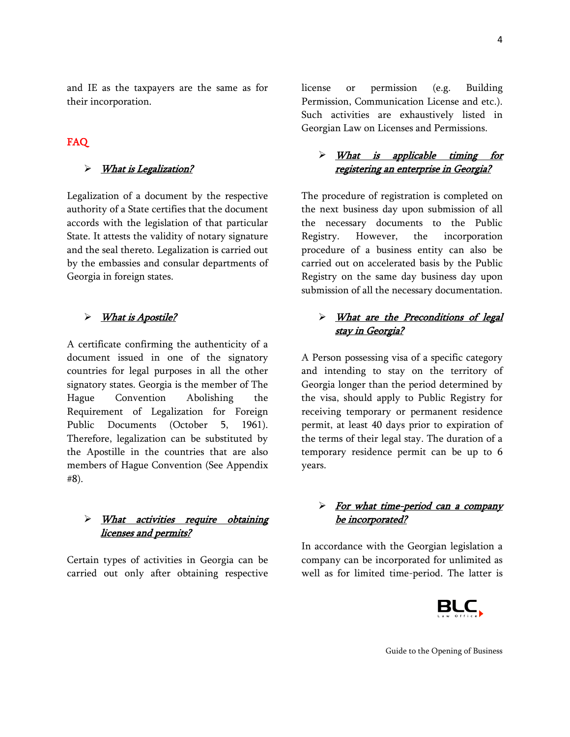and IE as the taxpayers are the same as for their incorporation.

# FAQ

## > What is Legalization?

Legalization of a document by the respective authority of a State certifies that the document accords with the legislation of that particular State. It attests the validity of notary signature and the seal thereto. Legalization is carried out by the embassies and consular departments of Georgia in foreign states.

# What is Apostile?

A certificate confirming the authenticity of a document issued in one of the signatory countries for legal purposes in all the other signatory states. Georgia is the member of The Hague Convention Abolishing the Requirement of Legalization for Foreign Public Documents (October 5, 1961). Therefore, legalization can be substituted by the Apostille in the countries that are also members of Hague Convention (See Appendix #8).

## $\triangleright$  What activities require obtaining licenses and permits?

Certain types of activities in Georgia can be carried out only after obtaining respective license or permission (e.g. Building Permission, Communication License and etc.). Such activities are exhaustively listed in Georgian Law on Licenses and Permissions.

# > What is applicable timing for registering an enterprise in Georgia?

The procedure of registration is completed on the next business day upon submission of all the necessary documents to the Public Registry. However, the incorporation procedure of a business entity can also be carried out on accelerated basis by the Public Registry on the same day business day upon submission of all the necessary documentation.

# > What are the Preconditions of legal stay in Georgia?

A Person possessing visa of a specific category and intending to stay on the territory of Georgia longer than the period determined by the visa, should apply to Public Registry for receiving temporary or permanent residence permit, at least 40 days prior to expiration of the terms of their legal stay. The duration of a temporary residence permit can be up to 6 years.

# $\triangleright$  For what time-period can a company be incorporated?

In accordance with the Georgian legislation a company can be incorporated for unlimited as well as for limited time-period. The latter is

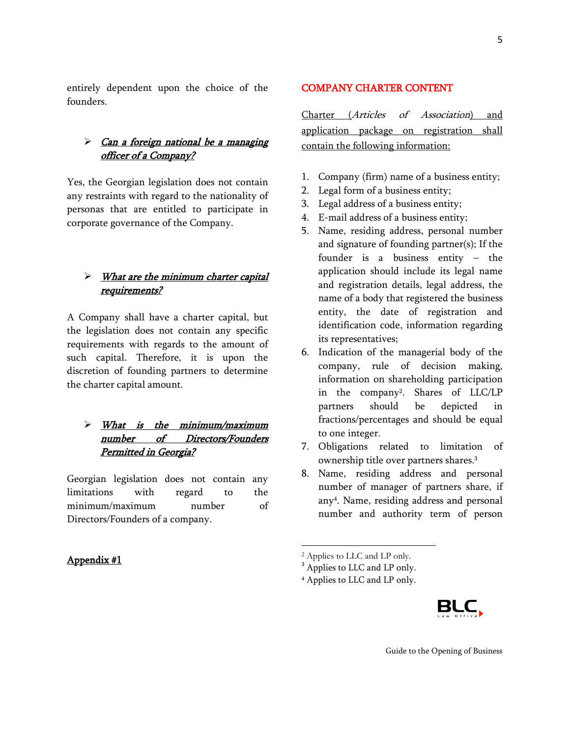entirely dependent upon the choice of the founders.

# $\triangleright$  Can a foreign national be a managing officer of a Company?

Yes, the Georgian legislation does not contain any restraints with regard to the nationality of personas that are entitled to participate in corporate governance of the Company.

# $\triangleright$  What are the minimum charter capital requirements?

A Company shall have a charter capital, but the legislation does not contain any specific requirements with regards to the amount of such capital. Therefore, it is upon the discretion of founding partners to determine the charter capital amount.

# $\triangleright$  What is the minimum/maximum number of Directors/Founders Permitted in Georgia?

Georgian legislation does not contain any limitations with regard to the minimum/maximum number of Directors/Founders of a company.

# Appendix #1

#### COMPANY CHARTER CONTENT

Charter (Articles of Association) and application package on registration shall contain the following information:

- 1. Company (firm) name of a business entity;
- 2. Legal form of a business entity;
- 3. Legal address of a business entity;
- 4. E-mail address of a business entity;
- 5. Name, residing address, personal number and signature of founding partner(s); If the founder is a business entity – the application should include its legal name and registration details, legal address, the name of a body that registered the business entity, the date of registration and identification code, information regarding its representatives;
- 6. Indication of the managerial body of the company, rule of decision making, information on shareholding participation in the company<sup>2</sup> . Shares of LLC/LP partners should be depicted in fractions/percentages and should be equal to one integer.
- 7. Obligations related to limitation of ownership title over partners shares.<sup>3</sup>
- 8. Name, residing address and personal number of manager of partners share, if any<sup>4</sup> . Name, residing address and personal number and authority term of person

 $\overline{\phantom{a}}$ 

<sup>4</sup> Applies to LLC and LP only.



<sup>2</sup> Applies to LLC and LP only.

<sup>&</sup>lt;sup>3</sup> Applies to LLC and LP only.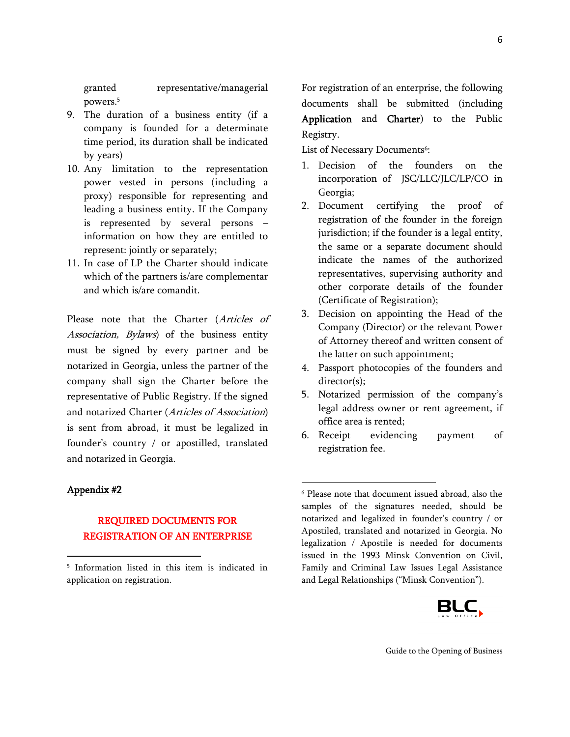granted representative/managerial

powers.<sup>5</sup>

- 9. The duration of a business entity (if a company is founded for a determinate time period, its duration shall be indicated by years)
- 10. Any limitation to the representation power vested in persons (including a proxy) responsible for representing and leading a business entity. If the Company is represented by several persons – information on how they are entitled to represent: jointly or separately;
- 11. In case of LP the Charter should indicate which of the partners is/are complementar and which is/are comandit.

Please note that the Charter (Articles of Association, Bylaws) of the business entity must be signed by every partner and be notarized in Georgia, unless the partner of the company shall sign the Charter before the representative of Public Registry. If the signed and notarized Charter (Articles of Association) is sent from abroad, it must be legalized in founder's country / or apostilled, translated and notarized in Georgia.

#### Appendix #2

 $\overline{\phantom{a}}$ 

# REQUIRED DOCUMENTS FOR REGISTRATION OF AN ENTERPRISE

For registration of an enterprise, the following documents shall be submitted (including Application and Charter) to the Public Registry.

List of Necessary Documents<sup>6</sup>:

- 1. Decision of the founders on the incorporation of JSC/LLC/JLC/LP/CO in Georgia;
- 2. Document certifying the proof of registration of the founder in the foreign jurisdiction; if the founder is a legal entity, the same or a separate document should indicate the names of the authorized representatives, supervising authority and other corporate details of the founder (Certificate of Registration);
- 3. Decision on appointing the Head of the Company (Director) or the relevant Power of Attorney thereof and written consent of the latter on such appointment;
- 4. Passport photocopies of the founders and director(s);
- 5. Notarized permission of the company's legal address owner or rent agreement, if office area is rented;
- 6. Receipt evidencing payment of registration fee.

 $\overline{\phantom{a}}$ 

<sup>6</sup> Please note that document issued abroad, also the samples of the signatures needed, should be notarized and legalized in founder's country / or Apostiled, translated and notarized in Georgia. No legalization / Apostile is needed for documents issued in the 1993 Minsk Convention on Civil, Family and Criminal Law Issues Legal Assistance and Legal Relationships ("Minsk Convention").



<sup>5</sup> Information listed in this item is indicated in application on registration.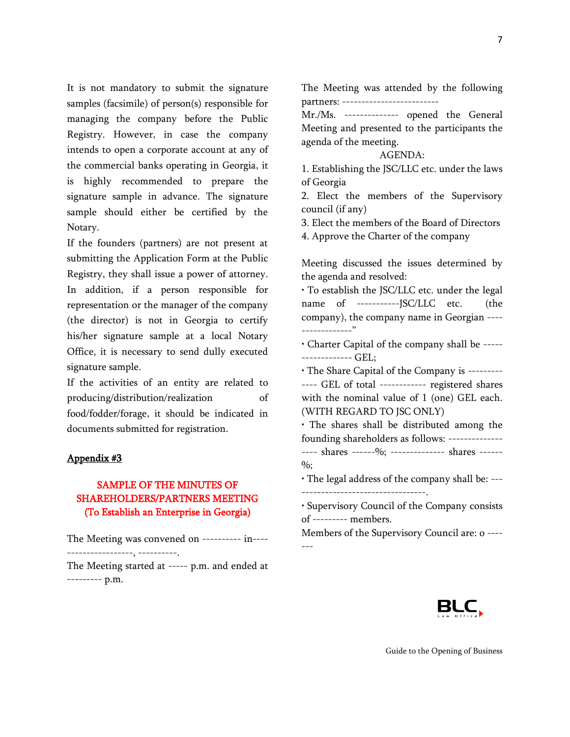7

It is not mandatory to submit the signature samples (facsimile) of person(s) responsible for managing the company before the Public Registry. However, in case the company intends to open a corporate account at any of the commercial banks operating in Georgia, it is highly recommended to prepare the signature sample in advance. The signature sample should either be certified by the Notary.

If the founders (partners) are not present at submitting the Application Form at the Public Registry, they shall issue a power of attorney. In addition, if a person responsible for representation or the manager of the company (the director) is not in Georgia to certify his/her signature sample at a local Notary Office, it is necessary to send dully executed signature sample.

If the activities of an entity are related to producing/distribution/realization of food/fodder/forage, it should be indicated in documents submitted for registration.

#### Appendix #3

# SAMPLE OF THE MINUTES OF SHAREHOLDERS/PARTNERS MEETING (To Establish an Enterprise in Georgia)

The Meeting was convened on ---------- in---- -----------------, ----------.

The Meeting started at ----- p.m. and ended at --------- p.m.

The Meeting was attended by the following partners: --------------------------

Mr./Ms. -------------- opened the General Meeting and presented to the participants the agenda of the meeting.

#### AGENDA:

1. Establishing the JSC/LLC etc. under the laws of Georgia

2. Elect the members of the Supervisory council (if any)

3. Elect the members of the Board of Directors 4. Approve the Charter of the company

Meeting discussed the issues determined by the agenda and resolved:

• To establish the JSC/LLC etc. under the legal name of -----------JSC/LLC etc. (the company), the company name in Georgian ---- -------------"

• Charter Capital of the company shall be ----- ------------- GEL;

• The Share Capital of the Company is --------- ---- GEL of total ------------ registered shares with the nominal value of 1 (one) GEL each. (WITH REGARD TO JSC ONLY)

• The shares shall be distributed among the founding shareholders as follows: -------------- ---- shares ------%; -------------- shares ------%;

• The legal address of the company shall be: --- --------------------------------.

• Supervisory Council of the Company consists of --------- members.

Members of the Supervisory Council are: o ---- ---

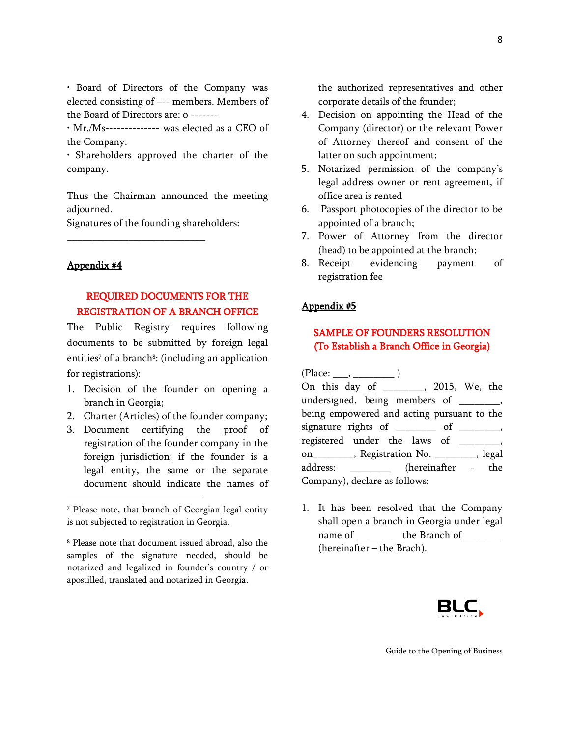• Board of Directors of the Company was elected consisting of –-- members. Members of the Board of Directors are: o -------

• Mr./Ms-------------- was elected as a CEO of the Company.

• Shareholders approved the charter of the company.

Thus the Chairman announced the meeting adjourned.

Signatures of the founding shareholders:

\_\_\_\_\_\_\_\_\_\_\_\_\_\_\_\_\_\_\_\_\_\_\_\_\_\_\_

#### Appendix #4

 $\overline{\phantom{a}}$ 

# REQUIRED DOCUMENTS FOR THE REGISTRATION OF A BRANCH OFFICE

The Public Registry requires following documents to be submitted by foreign legal entities<sup>7</sup> of a branch<sup>8</sup>: (including an application for registrations):

- 1. Decision of the founder on opening a branch in Georgia;
- 2. Charter (Articles) of the founder company;
- 3. Document certifying the proof of registration of the founder company in the foreign jurisdiction; if the founder is a legal entity, the same or the separate document should indicate the names of

the authorized representatives and other corporate details of the founder;

- 4. Decision on appointing the Head of the Company (director) or the relevant Power of Attorney thereof and consent of the latter on such appointment;
- 5. Notarized permission of the company's legal address owner or rent agreement, if office area is rented
- 6. Passport photocopies of the director to be appointed of a branch;
- 7. Power of Attorney from the director (head) to be appointed at the branch;
- 8. Receipt evidencing payment of registration fee

#### Appendix #5

# SAMPLE OF FOUNDERS RESOLUTION (To Establish a Branch Office in Georgia)

 $(Place: \_\_\_\_$ On this day of \_\_\_\_\_\_\_\_, 2015, We, the undersigned, being members of , being empowered and acting pursuant to the signature rights of \_\_\_\_\_\_\_\_ of \_\_\_\_\_\_\_, registered under the laws of \_\_\_\_\_\_\_, on\_\_\_\_\_\_\_\_, Registration No. \_\_\_\_\_\_\_\_, legal address:  $(hereinafter - the)$ Company), declare as follows:

1. It has been resolved that the Company shall open a branch in Georgia under legal name of the Branch of (hereinafter – the Brach).



<sup>7</sup> Please note, that branch of Georgian legal entity is not subjected to registration in Georgia.

<sup>8</sup> Please note that document issued abroad, also the samples of the signature needed, should be notarized and legalized in founder's country / or apostilled, translated and notarized in Georgia.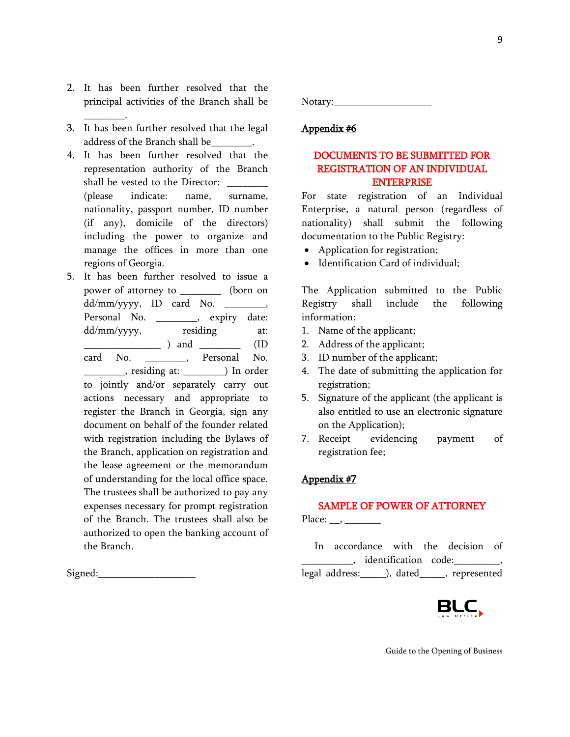- 2. It has been further resolved that the principal activities of the Branch shall be
- 3. It has been further resolved that the legal address of the Branch shall be\_\_\_\_\_\_\_\_.

 $\overline{\phantom{a}}$  .

- 4. It has been further resolved that the representation authority of the Branch shall be vested to the Director: (please indicate: name, surname, nationality, passport number, ID number (if any), domicile of the directors) including the power to organize and manage the offices in more than one regions of Georgia.
- 5. It has been further resolved to issue a power of attorney to \_\_\_\_\_\_\_\_ (born on dd/mm/yyyy, ID card No. \_\_\_\_\_\_\_\_, Personal No. \_\_\_\_\_\_\_\_, expiry date: dd/mm/yyyy, residing at: \_\_\_\_\_\_\_\_\_\_\_\_\_\_\_ ) and \_\_\_\_\_\_\_\_ (ID card No. \_\_\_\_\_\_\_\_, Personal No. \_\_\_\_\_\_\_\_, residing at: \_\_\_\_\_\_\_\_) In order to jointly and/or separately carry out actions necessary and appropriate to register the Branch in Georgia, sign any document on behalf of the founder related with registration including the Bylaws of the Branch, application on registration and the lease agreement or the memorandum of understanding for the local office space. The trustees shall be authorized to pay any expenses necessary for prompt registration of the Branch. The trustees shall also be authorized to open the banking account of the Branch.

 $Signed:$ 

Notary:\_\_\_\_\_\_\_\_\_\_\_\_\_\_\_\_\_\_\_

## Appendix #6

# DOCUMENTS TO BE SUBMITTED FOR REGISTRATION OF AN INDIVIDUAL ENTERPRISE

For state registration of an Individual Enterprise, a natural person (regardless of nationality) shall submit the following documentation to the Public Registry:

- Application for registration;
- Identification Card of individual;

The Application submitted to the Public Registry shall include the following information:

- 1. Name of the applicant;
- 2. Address of the applicant;
- 3. ID number of the applicant;
- 4. The date of submitting the application for registration;
- 5. Signature of the applicant (the applicant is also entitled to use an electronic signature on the Application);
- 7. Receipt evidencing payment of registration fee;

#### Appendix #7

#### SAMPLE OF POWER OF ATTORNEY

Place:  $\frac{\ }{}$ 

 In accordance with the decision of \_\_\_\_\_\_\_\_\_\_, identification code:\_\_\_\_\_\_\_\_\_, legal address:\_\_\_\_\_), dated\_\_\_\_\_, represented

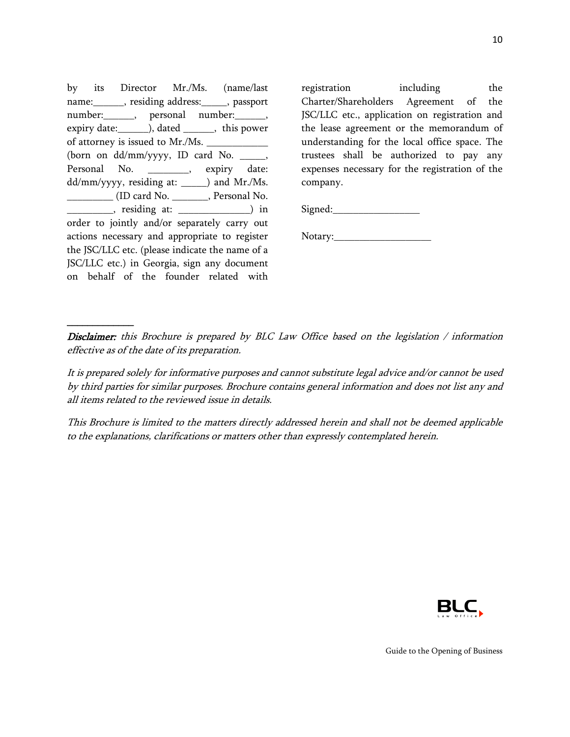by its Director Mr./Ms. (name/last name:\_\_\_\_\_\_, residing address:\_\_\_\_\_, passport number: , personal number: , expiry date:  $\qquad$ , dated  $\qquad$ , this power of attorney is issued to Mr./Ms. (born on dd/mm/yyyy, ID card No. \_\_\_\_\_, Personal No. \_\_\_\_\_\_\_\_, expiry date: dd/mm/yyyy, residing at: \_\_\_\_\_) and Mr./Ms. \_\_\_\_\_\_\_\_\_ (ID card No. \_\_\_\_\_\_\_, Personal No. \_\_\_\_\_\_\_\_\_\_\_\_, residing at: \_\_\_\_\_\_\_\_\_\_\_\_\_\_\_\_\_\_) in order to jointly and/or separately carry out actions necessary and appropriate to register the JSC/LLC etc. (please indicate the name of a JSC/LLC etc.) in Georgia, sign any document on behalf of the founder related with

\_\_\_\_\_\_\_\_\_\_\_\_\_

registration including the Charter/Shareholders Agreement of the JSC/LLC etc., application on registration and the lease agreement or the memorandum of understanding for the local office space. The trustees shall be authorized to pay any expenses necessary for the registration of the company.

Signed:\_\_\_\_\_\_\_\_\_\_\_\_\_\_\_\_\_

Notary:\_\_\_\_\_\_\_\_\_\_\_\_\_\_\_\_\_\_\_

Disclaimer: this Brochure is prepared by BLC Law Office based on the legislation / information effective as of the date of its preparation.

It is prepared solely for informative purposes and cannot substitute legal advice and/or cannot be used by third parties for similar purposes. Brochure contains general information and does not list any and all items related to the reviewed issue in details.

This Brochure is limited to the matters directly addressed herein and shall not be deemed applicable to the explanations, clarifications or matters other than expressly contemplated herein.

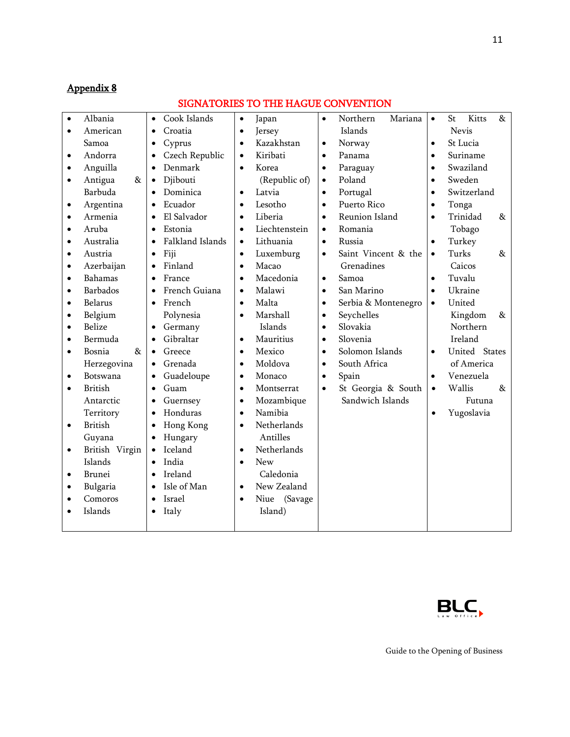# Appendix 8

# SIGNATORIES TO THE HAGUE CONVENTION

| $\bullet$ | Albania         | $\bullet$ | Cook Islands     | $\bullet$ | Japan           | $\bullet$ | Northern<br>Mariana | $\bullet$ | St     | Kitts         | &    |
|-----------|-----------------|-----------|------------------|-----------|-----------------|-----------|---------------------|-----------|--------|---------------|------|
| $\bullet$ | American        | $\bullet$ | Croatia          | $\bullet$ | Jersey          |           | Islands             |           |        | Nevis         |      |
|           | Samoa           | $\bullet$ | Cyprus           | $\bullet$ | Kazakhstan      | $\bullet$ | Norway              | $\bullet$ |        | St Lucia      |      |
| $\bullet$ | Andorra         | $\bullet$ | Czech Republic   | $\bullet$ | Kiribati        | $\bullet$ | Panama              | $\bullet$ |        | Suriname      |      |
| ٠         | Anguilla        | $\bullet$ | Denmark          | $\bullet$ | Korea           | $\bullet$ | Paraguay            | $\bullet$ |        | Swaziland     |      |
| $\bullet$ | Antigua<br>&    | $\bullet$ | Djibouti         |           | (Republic of)   | $\bullet$ | Poland              | $\bullet$ |        | Sweden        |      |
|           | Barbuda         | $\bullet$ | Dominica         | $\bullet$ | Latvia          | $\bullet$ | Portugal            | $\bullet$ |        | Switzerland   |      |
| $\bullet$ | Argentina       | $\bullet$ | Ecuador          | $\bullet$ | Lesotho         | $\bullet$ | Puerto Rico         | $\bullet$ | Tonga  |               |      |
| $\bullet$ | Armenia         |           | El Salvador      | $\bullet$ | Liberia         | $\bullet$ | Reunion Island      | $\bullet$ |        | Trinidad      | $\&$ |
| $\bullet$ | Aruba           | $\bullet$ | Estonia          | $\bullet$ | Liechtenstein   | $\bullet$ | Romania             |           |        | Tobago        |      |
| $\bullet$ | Australia       | $\bullet$ | Falkland Islands | $\bullet$ | Lithuania       | $\bullet$ | Russia              | $\bullet$ |        | Turkey        |      |
| $\bullet$ | Austria         | $\bullet$ | Fiji             | $\bullet$ | Luxemburg       | $\bullet$ | Saint Vincent & the | $\bullet$ | Turks  |               | $\&$ |
| $\bullet$ | Azerbaijan      | $\bullet$ | Finland          | $\bullet$ | Macao           |           | Grenadines          |           |        | Caicos        |      |
| $\bullet$ | <b>Bahamas</b>  | $\bullet$ | France           | $\bullet$ | Macedonia       | $\bullet$ | Samoa               | $\bullet$ |        | Tuvalu        |      |
| $\bullet$ | <b>Barbados</b> | $\bullet$ | French Guiana    | $\bullet$ | Malawi          | $\bullet$ | San Marino          | $\bullet$ |        | Ukraine       |      |
| $\bullet$ | Belarus         | $\bullet$ | French           | $\bullet$ | Malta           | $\bullet$ | Serbia & Montenegro | $\bullet$ |        | United        |      |
| $\bullet$ | Belgium         |           | Polynesia        | $\bullet$ | Marshall        | $\bullet$ | Seychelles          |           |        | Kingdom       | &    |
| $\bullet$ | <b>Belize</b>   | $\bullet$ | Germany          |           | Islands         | $\bullet$ | Slovakia            |           |        | Northern      |      |
| $\bullet$ | Bermuda         | $\bullet$ | Gibraltar        | $\bullet$ | Mauritius       | $\bullet$ | Slovenia            |           |        | Ireland       |      |
| $\bullet$ | Bosnia<br>$\&$  |           | Greece           | $\bullet$ | Mexico          | $\bullet$ | Solomon Islands     | $\bullet$ |        | United States |      |
|           | Herzegovina     | $\bullet$ | Grenada          | $\bullet$ | Moldova         | $\bullet$ | South Africa        |           |        | of America    |      |
| $\bullet$ | Botswana        | $\bullet$ | Guadeloupe       | $\bullet$ | Monaco          | $\bullet$ | Spain               | $\bullet$ |        | Venezuela     |      |
| $\bullet$ | <b>British</b>  | $\bullet$ | Guam             | $\bullet$ | Montserrat      | $\bullet$ | St Georgia & South  | $\bullet$ | Wallis |               | $\&$ |
|           | Antarctic       | $\bullet$ | Guernsey         | $\bullet$ | Mozambique      |           | Sandwich Islands    |           |        | Futuna        |      |
|           | Territory       | $\bullet$ | Honduras         | $\bullet$ | Namibia         |           |                     | $\bullet$ |        | Yugoslavia    |      |
| $\bullet$ | <b>British</b>  | $\bullet$ | Hong Kong        | $\bullet$ | Netherlands     |           |                     |           |        |               |      |
|           | Guyana          | $\bullet$ | Hungary          |           | Antilles        |           |                     |           |        |               |      |
| $\bullet$ | British Virgin  | $\bullet$ | Iceland          | $\bullet$ | Netherlands     |           |                     |           |        |               |      |
|           | Islands         | $\bullet$ | India            | $\bullet$ | <b>New</b>      |           |                     |           |        |               |      |
| $\bullet$ | <b>Brunei</b>   | $\bullet$ | Ireland          |           | Caledonia       |           |                     |           |        |               |      |
|           | Bulgaria        |           | Isle of Man      | $\bullet$ | New Zealand     |           |                     |           |        |               |      |
| ٠         | Comoros         | $\bullet$ | Israel           | $\bullet$ | Niue<br>(Savage |           |                     |           |        |               |      |
|           | Islands         | $\bullet$ | Italy            |           | Island)         |           |                     |           |        |               |      |
|           |                 |           |                  |           |                 |           |                     |           |        |               |      |

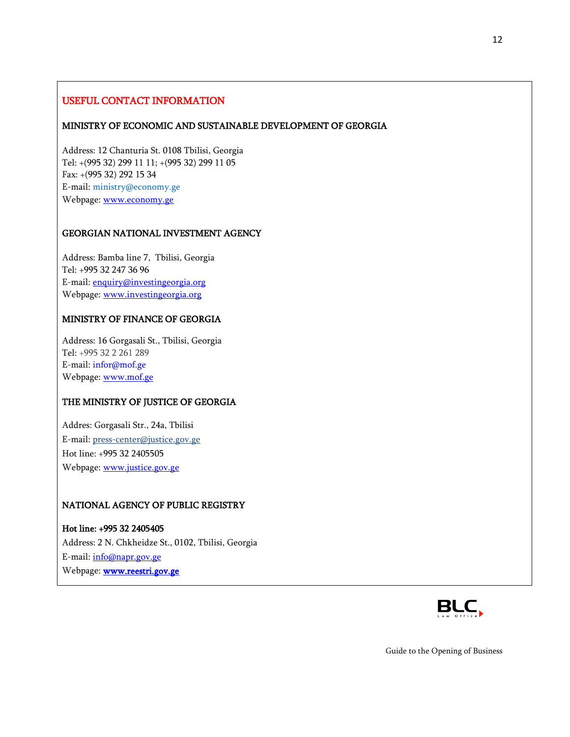# USEFUL CONTACT INFORMATION

#### MINISTRY OF ECONOMIC AND SUSTAINABLE DEVELOPMENT OF GEORGIA

Address: 12 Chanturia St. 0108 Tbilisi, Georgia Tel: +(995 32) 299 11 11; +(995 32) 299 11 05 Fax: +(995 32) 292 15 34 E-mail[: ministry@economy.ge](mailto:ministry@economy.ge) Webpage: [www.economy.ge](http://www.economy.ge/)

#### GEORGIAN NATIONAL INVESTMENT AGENCY

Address: Bamba line 7, Tbilisi, Georgia Tel: +995 32 247 36 96 E-mail[: enquiry@investingeorgia.org](mailto:info@investingeorgia.org) Webpage: [www.investingeorgia.org](http://www.investingeorgia.org/)

## MINISTRY OF FINANCE OF GEORGIA

Address: 16 Gorgasali St., Tbilisi, Georgia Tel: +995 32 2 261 289 E-mail[: infor@mof.ge](mailto:infor@mof.ge) Webpage: [www.mof.ge](http://www.mof.ge/)

#### THE MINISTRY OF JUSTICE OF GEORGIA

Addres: Gorgasali Str., 24a, Tbilisi E-mail[: press-center@justice.gov.ge](mailto:press-center@justice.gov.ge) Hot line: +995 32 2405505 Webpage: [www.justice.gov.ge](http://www.justice.gov.ge/)

## NATIONAL AGENCY OF PUBLIC REGISTRY

Hot line: +995 32 2405405 Address: 2 N. Chkheidze St., 0102, Tbilisi, Georgia E-mail[: info@napr.gov.ge](mailto:info@napr.gov.ge) Webpage: **www.reestri.gov.ge**